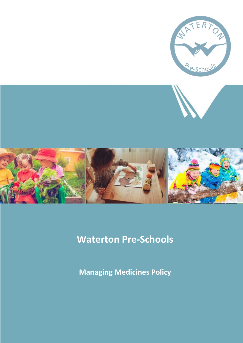

# **Waterton Pre-Schools**

**Managing Medicines Policy**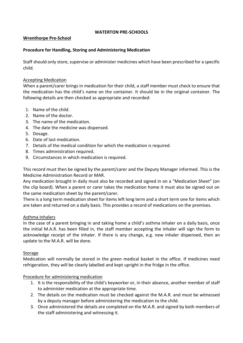#### **WATERTON PRE-SCHOOLS**

### **Wrenthorpe Pre-School**

## **Procedure for Handling, Storing and Administering Medication**

Staff should only store, supervise or administer medicines which have been prescribed for a specific child.

### Accepting Medication

When a parent/carer brings in medication for their child, a staff member must check to ensure that the medication has the child's name on the container. It should be in the original container. The following details are then checked as appropriate and recorded:

- 1. Name of the child.
- 2. Name of the doctor.
- 3. The name of the medication.
- 4. The date the medicine was dispensed.
- 5. Dosage.
- 6. Date of last medication.
- 7. Details of the medical condition for which the medication is required.
- 8. Times administration required.
- 9. Circumstances in which medication is required.

This record must then be signed by the parent/carer and the Deputy Manager informed. This is the Medicine Administration Record or MAR.

Any medication brought in daily must also be recorded and signed in on a "Medication Sheet" (on the clip board). When a parent or carer takes the medication home it must also be signed out on the same medication sheet by the parent/carer.

There is a long term medication sheet for items left long term and a short term one for items which are taken and returned on a daily basis. This provides a record of medications on the premises.

### Asthma Inhalers

In the case of a parent bringing in and taking home a child's asthma inhaler on a daily basis, once the initial M.A.R. has been filled in, the staff member accepting the inhaler will sign the form to acknowledge receipt of the inhaler. If there is any change, e.g. new inhaler dispensed, then an update to the M.A.R. will be done.

### Storage

Medication will normally be stored in the green medical basket in the office. If medicines need refrigeration, they will be clearly labelled and kept upright in the fridge in the office.

### Procedure for administering medication

- 1. It is the responsibility of the child's keyworker or, in their absence, another member of staff to administer medication at the appropriate time.
- 2. The details on the medication must be checked against the M.A.R. and must be witnessed by a deputy manager before administering the medication to the child.
- 3. Once administered the details are completed on the M.A.R. and signed by both members of the staff administering and witnessing it.